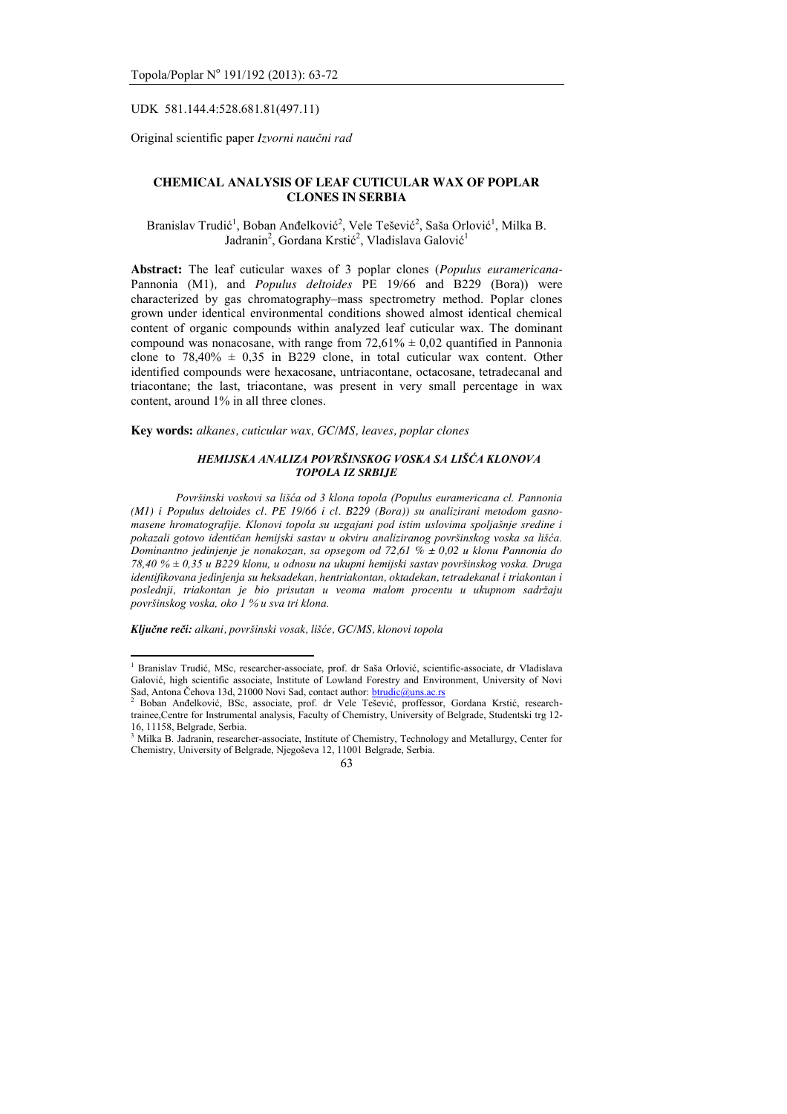UDK 581.144.4:528.681.81(497.11)

Original scientific paper *Izvorni naučni rad*

# **CHEMICAL ANALYSIS OF LEAF CUTICULAR WAX OF POPLAR CLONES IN SERBIA**

Branislav Trudić<sup>1</sup>, Boban Anđelković<sup>2</sup>, Vele Tešević<sup>2</sup>, Saša Orlović<sup>1</sup>, Milka B. Jadranin<sup>2</sup>, Gordana Krstić<sup>2</sup>, Vladislava Galović<sup>1</sup>

**Abstract:** The leaf cuticular waxes of 3 poplar clones (*Populus euramericana-*Pannonia (M1), and *Populus deltoides* PE 19/66 and B229 (Bora)) were characterized by gas chromatography–mass spectrometry method. Poplar clones grown under identical environmental conditions showed almost identical chemical content of organic compounds within analyzed leaf cuticular wax. The dominant compound was nonacosane, with range from  $72{,}61\% \pm 0{,}02$  quantified in Pannonia clone to  $78,40\% \pm 0.35$  in B229 clone, in total cuticular wax content. Other identified compounds were hexacosane, untriacontane, octacosane, tetradecanal and triacontane; the last, triacontane, was present in very small percentage in wax content, around 1% in all three clones.

**Key words:** *alkanes, cuticular wax, GC/MS, leaves, poplar clones*

### *HEMIJSKA ANALIZA POVRŠINSKOG VOSKA SA LIŠĆA KLONOVA TOPOLA IZ SRBIJE*

*Površinski voskovi sa lišća od 3 klona topola (Populus euramericana cl. Pannonia (M1) i Populus deltoides cl. PE 19/66 i cl. B229 (Bora)) su analizirani metodom gasnomasene hromatografije. Klonovi topola su uzgajani pod istim uslovima spoljašnje sredine i pokazali gotovo identičan hemijski sastav u okviru analiziranog površinskog voska sa lišća. Dominantno jedinjenje je nonakozan, sa opsegom od 72,61 % ± 0,02 u klonu Pannonia do 78,40 % ± 0,35 u B229 klonu, u odnosu na ukupni hemijski sastav površinskog voska. Druga identifikovana jedinjenja su heksadekan, hentriakontan, oktadekan, tetradekanal i triakontan i poslednji, triakontan je bio prisutan u veoma malom procentu u ukupnom sadržaju površinskog voska, oko 1 % u sva tri klona.*

*Ključne reči: alkani, površinski vosak, lišće, GC/MS, klonovi topola*

 $\overline{a}$ 

<sup>1</sup> Branislav Trudić, MSc, researcher-associate, prof. dr Saša Orlović, scientific-associate, dr Vladislava Galović, high scientific associate, Institute of Lowland Forestry and Environment, University of Novi Sad, Antona Čehova 13d, 21000 Novi Sad, contact author: <u>btrudic@uns.ac.rs</u><br><sup>2</sup> Boban Anđelković, BSc, associate, prof. dr Vele Tešević, proffessor, Gordana Krstić, research-

trainee,Centre for Instrumental analysis, Faculty of Chemistry, University of Belgrade, Studentski trg 12- 16, 11158, Belgrade, Serbia.

<sup>3</sup> Milka B. Jadranin, researcher-associate, Institute of Chemistry, Technology and Metallurgy, Center for Chemistry, University of Belgrade, Njegoševa 12, 11001 Belgrade, Serbia.

<sup>63</sup>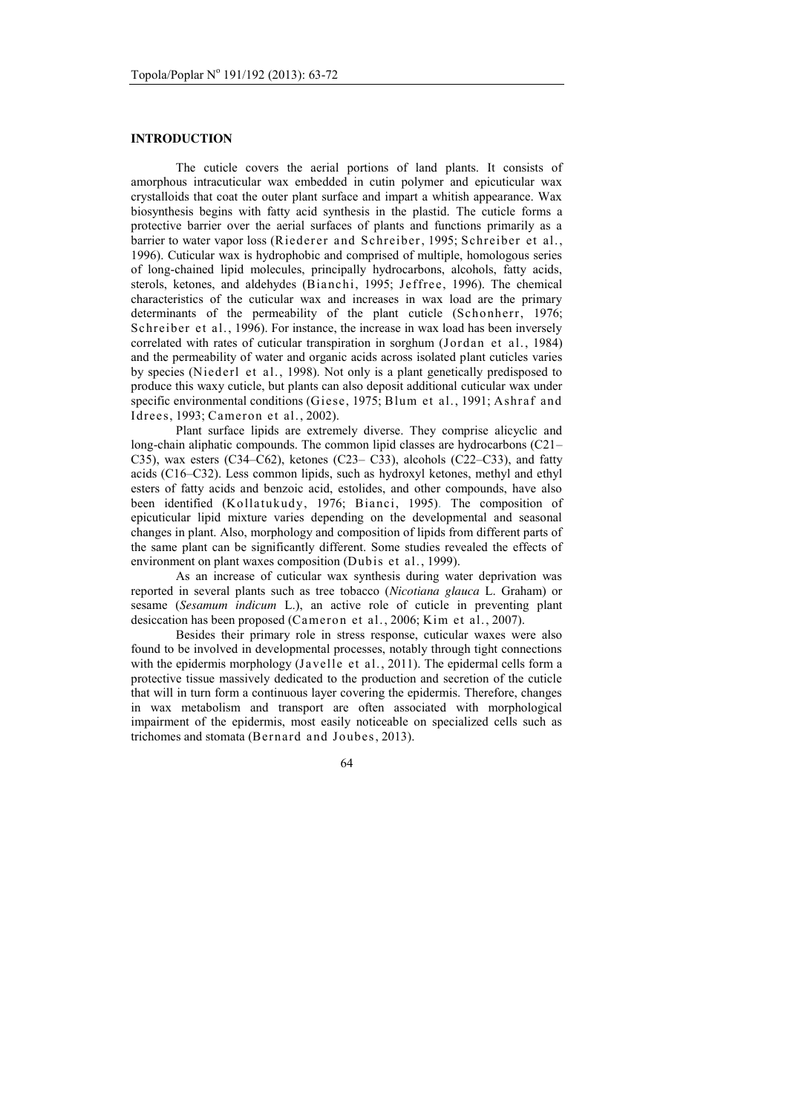# **INTRODUCTION**

The cuticle covers the aerial portions of land plants. It consists of amorphous intracuticular wax embedded in cutin polymer and epicuticular wax crystalloids that coat the outer plant surface and impart a whitish appearance. Wax biosynthesis begins with fatty acid synthesis in the plastid. The cuticle forms a protective barrier over the aerial surfaces of plants and functions primarily as a barrier to water vapor loss (Riederer and Schreiber, 1995; Schreiber et al., 1996). Cuticular wax is hydrophobic and comprised of multiple, homologous series of long-chained lipid molecules, principally hydrocarbons, alcohols, fatty acids, sterols, ketones, and aldehydes (Bianchi, 1995; Jeffree, 1996). The chemical characteristics of the cuticular wax and increases in wax load are the primary determinants of the permeability of the plant cuticle (Schonherr, 1976; Schreiber et al., 1996). For instance, the increase in wax load has been inversely correlated with rates of cuticular transpiration in sorghum (Jordan et al., 1984) and the permeability of water and organic acids across isolated plant cuticles varies by species (Niederl et al., 1998). Not only is a plant genetically predisposed to produce this waxy cuticle, but plants can also deposit additional cuticular wax under specific environmental conditions (Giese, 1975; Blum et al., 1991; Ashraf and Idrees, 1993; Cameron et al., 2002).

Plant surface lipids are extremely diverse. They comprise alicyclic and long-chain aliphatic compounds. The common lipid classes are hydrocarbons (C21– C35), wax esters (C34–C62), ketones (C23– C33), alcohols (C22–C33), and fatty acids (C16–C32). Less common lipids, such as hydroxyl ketones, methyl and ethyl esters of fatty acids and benzoic acid, estolides, and other compounds, have also been identified (Kollatukudy, 1976; Bianci, 1995). The composition of epicuticular lipid mixture varies depending on the developmental and seasonal changes in plant. Also, morphology and composition of lipids from different parts of the same plant can be significantly different. Some studies revealed the effects of environment on plant waxes composition (Dubis et al., 1999).

As an increase of cuticular wax synthesis during water deprivation was reported in several plants such as tree tobacco (*Nicotiana glauca* L. Graham) or sesame (*Sesamum indicum* L.), an active role of cuticle in preventing plant desiccation has been proposed (Cameron et al., 2006; Kim et al., 2007).

Besides their primary role in stress response, cuticular waxes were also found to be involved in developmental processes, notably through tight connections with the epidermis morphology (Javelle et al., 2011). The epidermal cells form a protective tissue massively dedicated to the production and secretion of the cuticle that will in turn form a continuous layer covering the epidermis. Therefore, changes in wax metabolism and transport are often associated with morphological impairment of the epidermis, most easily noticeable on specialized cells such as trichomes and stomata (Bernard and Joubes, 2013).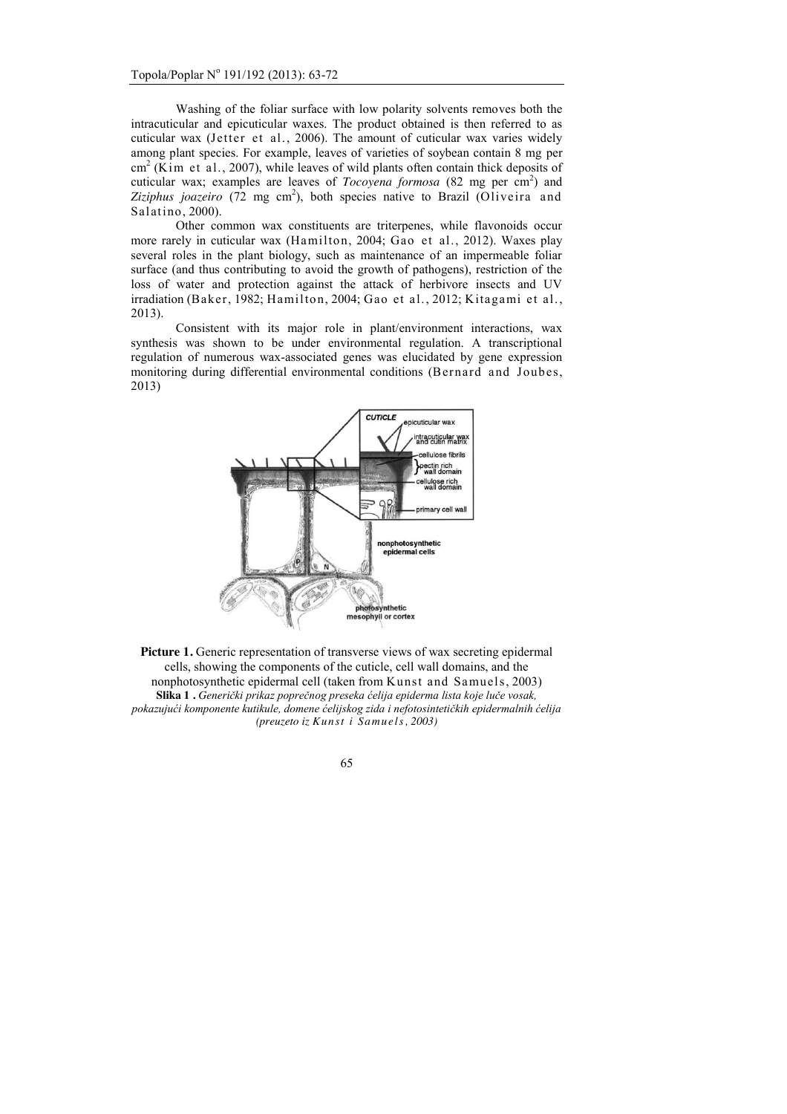Washing of the foliar surface with low polarity solvents removes both the intracuticular and epicuticular waxes. The product obtained is then referred to as cuticular wax (Jetter et al., 2006). The amount of cuticular wax varies widely among plant species. For example, leaves of varieties of soybean contain 8 mg per  $cm<sup>2</sup>$  (Kim et al., 2007), while leaves of wild plants often contain thick deposits of cuticular wax; examples are leaves of *Tocoyena formosa* (82 mg per cm<sup>2</sup>) and Ziziphus joazeiro  $(72 \text{ mg cm}^2)$ , both species native to Brazil  $(Oliverira and$ Salatino, 2000).

Other common wax constituents are triterpenes, while flavonoids occur more rarely in cuticular wax (Hamilton, 2004; Gao et al., 2012). Waxes play several roles in the plant biology, such as maintenance of an impermeable foliar surface (and thus contributing to avoid the growth of pathogens), restriction of the loss of water and protection against the attack of herbivore insects and UV irradiation (Baker, 1982; Hamilton, 2004; Gao et al., 2012; Kitagami et al., 2013).

Consistent with its major role in plant/environment interactions, wax synthesis was shown to be under environmental regulation. A transcriptional regulation of numerous wax-associated genes was elucidated by gene expression monitoring during differential environmental conditions (Bernard and Joubes, 2013)



Picture 1. Generic representation of transverse views of wax secreting epidermal cells, showing the components of the cuticle, cell wall domains, and the nonphotosynthetic epidermal cell (taken from Kunst and Samuels, 2003) **Slika 1 .** *Generički prikaz poprečnog preseka ćelija epiderma lista koje luče vosak, pokazujući komponente kutikule, domene ćelijskog zida i nefotosintetičkih epidermalnih ćelija (preuzeto iz Kunst i Samuels, 2003)*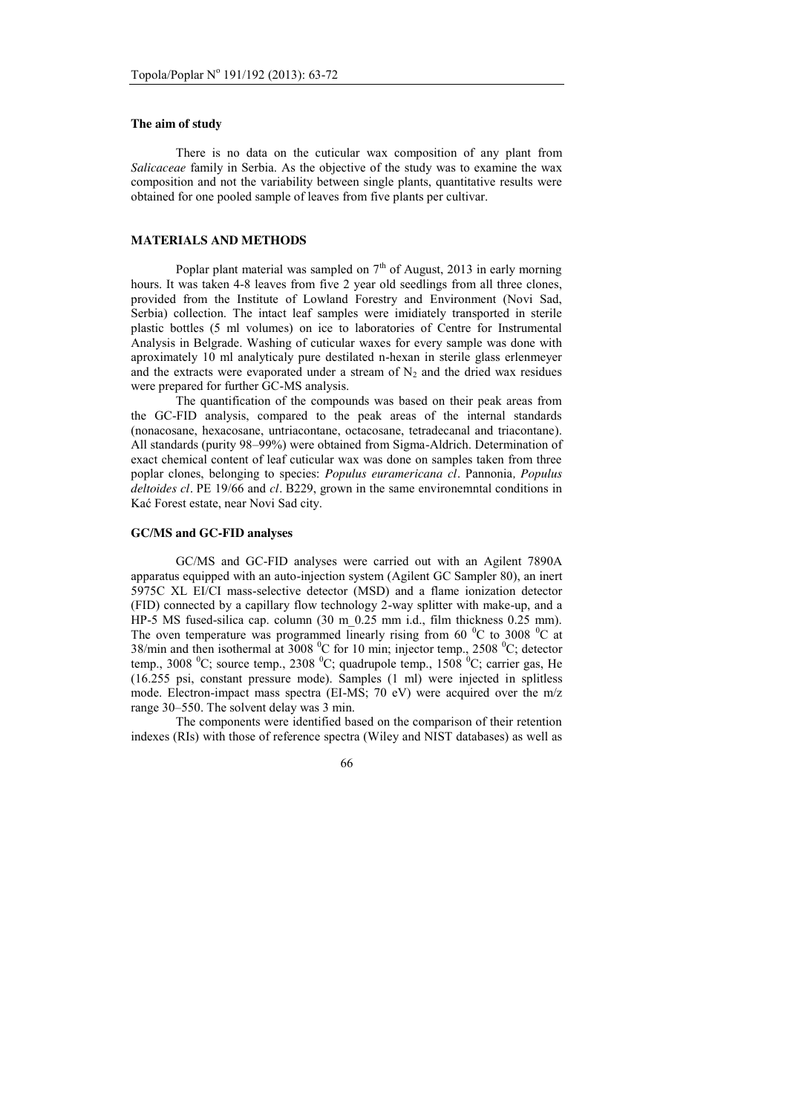#### **The aim of study**

There is no data on the cuticular wax composition of any plant from *Salicaceae* family in Serbia. As the objective of the study was to examine the wax composition and not the variability between single plants, quantitative results were obtained for one pooled sample of leaves from five plants per cultivar.

### **MATERIALS AND METHODS**

Poplar plant material was sampled on  $7<sup>th</sup>$  of August, 2013 in early morning hours. It was taken 4-8 leaves from five 2 year old seedlings from all three clones, provided from the Institute of Lowland Forestry and Environment (Novi Sad, Serbia) collection. The intact leaf samples were imidiately transported in sterile plastic bottles (5 ml volumes) on ice to laboratories of Centre for Instrumental Analysis in Belgrade. Washing of cuticular waxes for every sample was done with aproximately 10 ml analyticaly pure destilated n-hexan in sterile glass erlenmeyer and the extracts were evaporated under a stream of  $N<sub>2</sub>$  and the dried wax residues were prepared for further GC-MS analysis.

The quantification of the compounds was based on their peak areas from the GC-FID analysis, compared to the peak areas of the internal standards (nonacosane, hexacosane, untriacontane, octacosane, tetradecanal and triacontane). All standards (purity 98–99%) were obtained from Sigma-Aldrich. Determination of exact chemical content of leaf cuticular wax was done on samples taken from three poplar clones, belonging to species: *Populus euramericana cl.* Pannonia*, Populus deltoides cl.* PE 19/66 and *cl.* B229, grown in the same environemntal conditions in Kać Forest estate, near Novi Sad city.

#### **GC/MS and GC-FID analyses**

GC/MS and GC-FID analyses were carried out with an Agilent 7890A apparatus equipped with an auto-injection system (Agilent GC Sampler 80), an inert 5975C XL EI/CI mass-selective detector (MSD) and a flame ionization detector (FID) connected by a capillary flow technology 2-way splitter with make-up, and a HP-5 MS fused-silica cap. column  $(30 \text{ m } 0.25 \text{ mm } \text{i.d., film thickness } 0.25 \text{ mm})$ . The oven temperature was programmed linearly rising from 60  $^{\circ}$ C to 3008  $^{\circ}$ C at 38/min and then isothermal at 3008  $\rm{^0C}$  for 10 min; injector temp., 2508  $\rm{^0C}$ ; detector temp., 3008  $^0C$ ; source temp., 2308  $^0C$ ; quadrupole temp., 1508  $^0C$ ; carrier gas, He (16.255 psi, constant pressure mode). Samples (1 ml) were injected in splitless mode. Electron-impact mass spectra (EI-MS; 70 eV) were acquired over the m/z range 30–550. The solvent delay was 3 min.

The components were identified based on the comparison of their retention indexes (RIs) with those of reference spectra (Wiley and NIST databases) as well as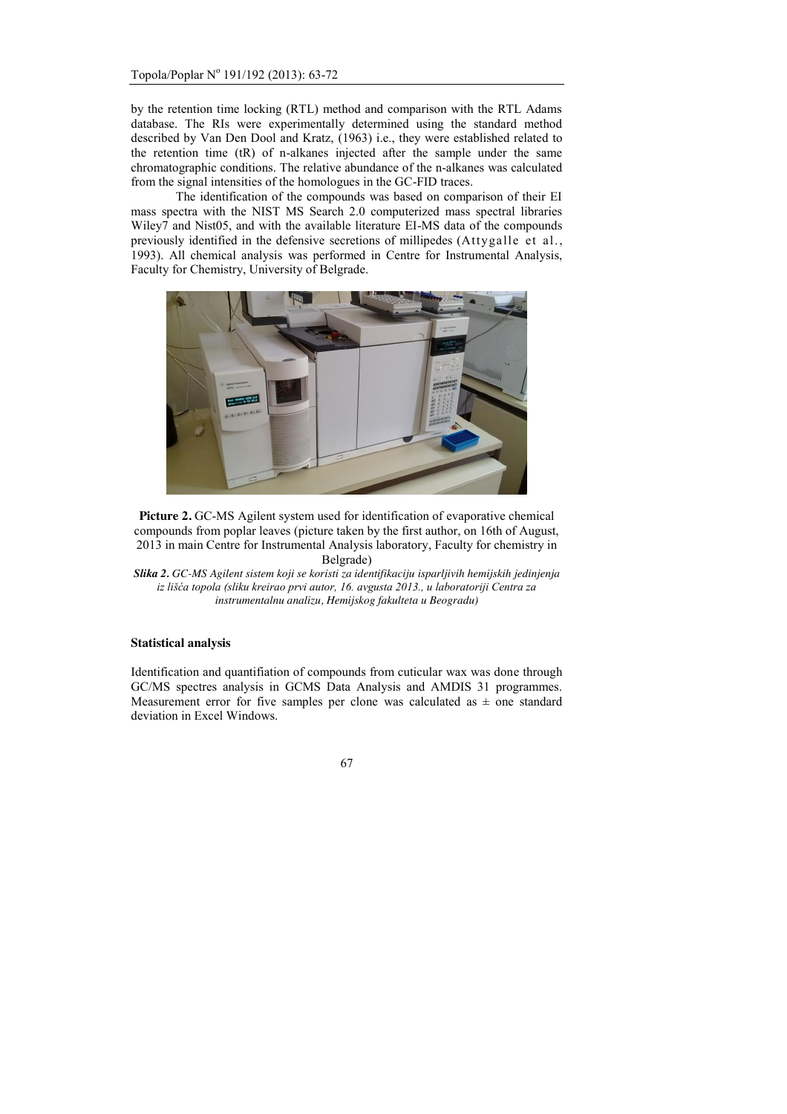by the retention time locking (RTL) method and comparison with the RTL Adams database. The RIs were experimentally determined using the standard method described by Van Den Dool and Kratz, (1963) i.e., they were established related to the retention time (tR) of n-alkanes injected after the sample under the same chromatographic conditions. The relative abundance of the n-alkanes was calculated from the signal intensities of the homologues in the GC-FID traces.

The identification of the compounds was based on comparison of their EI mass spectra with the NIST MS Search 2.0 computerized mass spectral libraries Wiley7 and Nist05, and with the available literature EI-MS data of the compounds previously identified in the defensive secretions of millipedes (Attygalle et al., 1993). All chemical analysis was performed in Centre for Instrumental Analysis, Faculty for Chemistry, University of Belgrade.



**Picture 2.** GC-MS Agilent system used for identification of evaporative chemical compounds from poplar leaves (picture taken by the first author, on 16th of August, 2013 in main Centre for Instrumental Analysis laboratory, Faculty for chemistry in Belgrade)

*Slika 2. GC-MS Agilent sistem koji se koristi za identifikaciju isparljivih hemijskih jedinjenja iz lišća topola (sliku kreirao prvi autor, 16. avgusta 2013., u laboratoriji Centra za instrumentalnu analizu, Hemijskog fakulteta u Beogradu)*

### **Statistical analysis**

Identification and quantifiation of compounds from cuticular wax was done through GC/MS spectres analysis in GCMS Data Analysis and AMDIS 31 programmes. Measurement error for five samples per clone was calculated as  $\pm$  one standard deviation in Excel Windows.

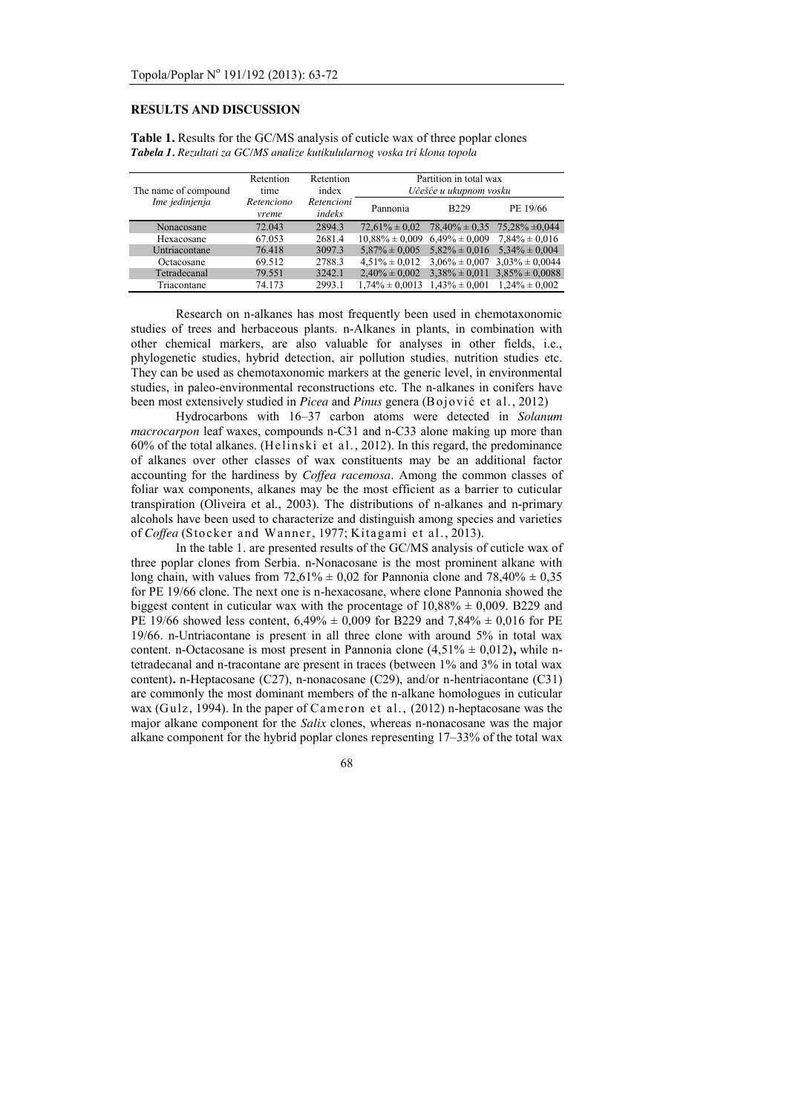# **RESULTS AND DISCUSSION**

| The name of compound<br>Ime jedinjenja | Retention<br>time   | Retention<br>index   |                                       | Partition in total wax<br>Učešće u ukupnom vosku |                                        |  |
|----------------------------------------|---------------------|----------------------|---------------------------------------|--------------------------------------------------|----------------------------------------|--|
|                                        | Retenciono<br>vreme | Retencioni<br>indeks | Pannonia                              | <b>B229</b>                                      | PE 19/66                               |  |
| Nonacosane                             | 72.043              | 2894.3               | $72.61\% \pm 0.02$                    |                                                  | $78,40\% \pm 0.35$ $75,28\% \pm 0.044$ |  |
| Hexacosane                             | 67.053              | 2681.4               | $10.88\% \pm 0.009$ 6.49% $\pm 0.009$ |                                                  | $7.84\% \pm 0.016$                     |  |
| Untriacontane                          | 76.418              | 3097.3               | $5.87\% \pm 0.005$                    | $5,82\% \pm 0,016$                               | $5,34\% \pm 0,004$                     |  |
| Octacosane                             | 69.512              | 2788.3               | $4.51\% \pm 0.012$                    |                                                  | $3.06\% \pm 0.007$ $3.03\% \pm 0.0044$ |  |
| Tetradecanal                           | 79.551              | 3242.1               | $2.40\% \pm 0.002$                    |                                                  | $3.38\% \pm 0.011$ $3.85\% \pm 0.0088$ |  |

**Table 1.** Results for the GC/MS analysis of cuticle wax of three poplar clones *Tabela 1. Rezultati za GC/MS analize kutikulularnog voska tri klona topola*

Research on n-alkanes has most frequently been used in chemotaxonomic studies of trees and herbaceous plants. n-Alkanes in plants, in combination with other chemical markers, are also valuable for analyses in other fields, i.e., phylogenetic studies, hybrid detection, air pollution studies, nutrition studies etc. They can be used as chemotaxonomic markers at the generic level, in environmental studies, in paleo-environmental reconstructions etc. The n-alkanes in conifers have been most extensively studied in *Picea* and *Pinus* genera (Bojović et al., 2012)

Triacontane  $\frac{74.173}{2993.1}$   $\frac{1,74\% \pm 0,0013}{1,43\% \pm 0,001}$   $\frac{1,24\% \pm 0,002}{1,24\% \pm 0,002}$ 

Hydrocarbons with 16–37 carbon atoms were detected in *Solanum macrocarpon* leaf waxes, compounds n-C31 and n-C33 alone making up more than 60% of the total alkanes. (Helinski et al., 2012). In this regard, the predominance of alkanes over other classes of wax constituents may be an additional factor accounting for the hardiness by *Coffea racemosa*. Among the common classes of foliar wax components, alkanes may be the most efficient as a barrier to cuticular transpiration (Oliveira et al., 2003). The distributions of n-alkanes and n-primary alcohols have been used to characterize and distinguish among species and varieties of *Coffea* (Stocker and Wanner, 1977; Kitagami et al., 2013).

In the table 1. are presented results of the GC/MS analysis of cuticle wax of three poplar clones from Serbia. n-Nonacosane is the most prominent alkane with long chain, with values from  $72{,}61\% \pm 0.02$  for Pannonia clone and  $78{,}40\% \pm 0.35$ for PE 19/66 clone. The next one is n-hexacosane, where clone Pannonia showed the biggest content in cuticular wax with the procentage of  $10.88\% \pm 0.009$ . B229 and PE 19/66 showed less content,  $6,49\% \pm 0,009$  for B229 and 7,84%  $\pm 0,016$  for PE 19/66. n-Untriacontane is present in all three clone with around 5% in total wax content. n-Octacosane is most present in Pannonia clone  $(4,51\% \pm 0,012)$ , while ntetradecanal and n-tracontane are present in traces (between 1% and 3% in total wax content)**.** n-Heptacosane (C27), n-nonacosane (C29), and/or n-hentriacontane (C31) are commonly the most dominant members of the n-alkane homologues in cuticular wax (Gulz, 1994). In the paper of Cameron et al., (2012) n-heptacosane was the major alkane component for the *Salix* clones, whereas n-nonacosane was the major alkane component for the hybrid poplar clones representing 17–33% of the total wax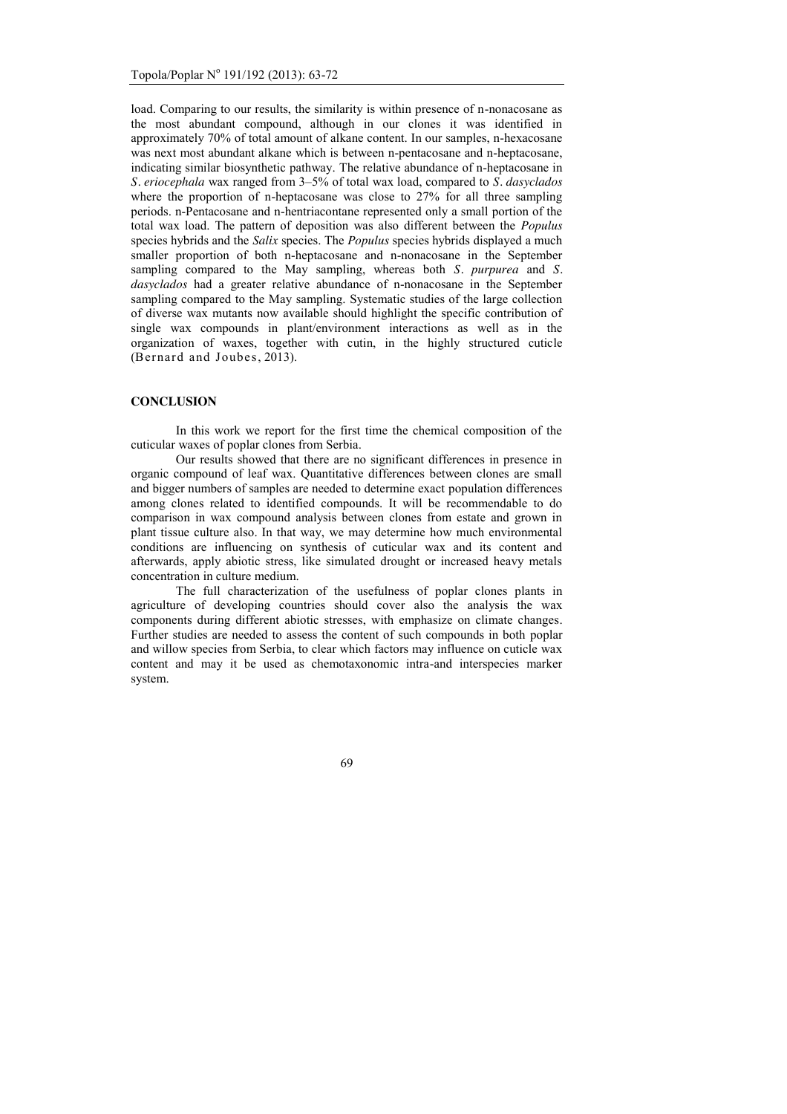load. Comparing to our results, the similarity is within presence of n-nonacosane as the most abundant compound, although in our clones it was identified in approximately 70% of total amount of alkane content. In our samples, n-hexacosane was next most abundant alkane which is between n-pentacosane and n-heptacosane, indicating similar biosynthetic pathway. The relative abundance of n-heptacosane in *S. eriocephala* wax ranged from 3–5% of total wax load, compared to *S. dasyclados* where the proportion of n-heptacosane was close to 27% for all three sampling periods. n-Pentacosane and n-hentriacontane represented only a small portion of the total wax load. The pattern of deposition was also different between the *Populus* species hybrids and the *Salix* species. The *Populus* species hybrids displayed a much smaller proportion of both n-heptacosane and n-nonacosane in the September sampling compared to the May sampling, whereas both *S. purpurea* and *S. dasyclados* had a greater relative abundance of n-nonacosane in the September sampling compared to the May sampling. Systematic studies of the large collection of diverse wax mutants now available should highlight the specific contribution of single wax compounds in plant/environment interactions as well as in the organization of waxes, together with cutin, in the highly structured cuticle (Bernard and Joubes, 2013).

### **CONCLUSION**

In this work we report for the first time the chemical composition of the cuticular waxes of poplar clones from Serbia.

Our results showed that there are no significant differences in presence in organic compound of leaf wax. Quantitative differences between clones are small and bigger numbers of samples are needed to determine exact population differences among clones related to identified compounds. It will be recommendable to do comparison in wax compound analysis between clones from estate and grown in plant tissue culture also. In that way, we may determine how much environmental conditions are influencing on synthesis of cuticular wax and its content and afterwards, apply abiotic stress, like simulated drought or increased heavy metals concentration in culture medium.

The full characterization of the usefulness of poplar clones plants in agriculture of developing countries should cover also the analysis the wax components during different abiotic stresses, with emphasize on climate changes. Further studies are needed to assess the content of such compounds in both poplar and willow species from Serbia, to clear which factors may influence on cuticle wax content and may it be used as chemotaxonomic intra-and interspecies marker system.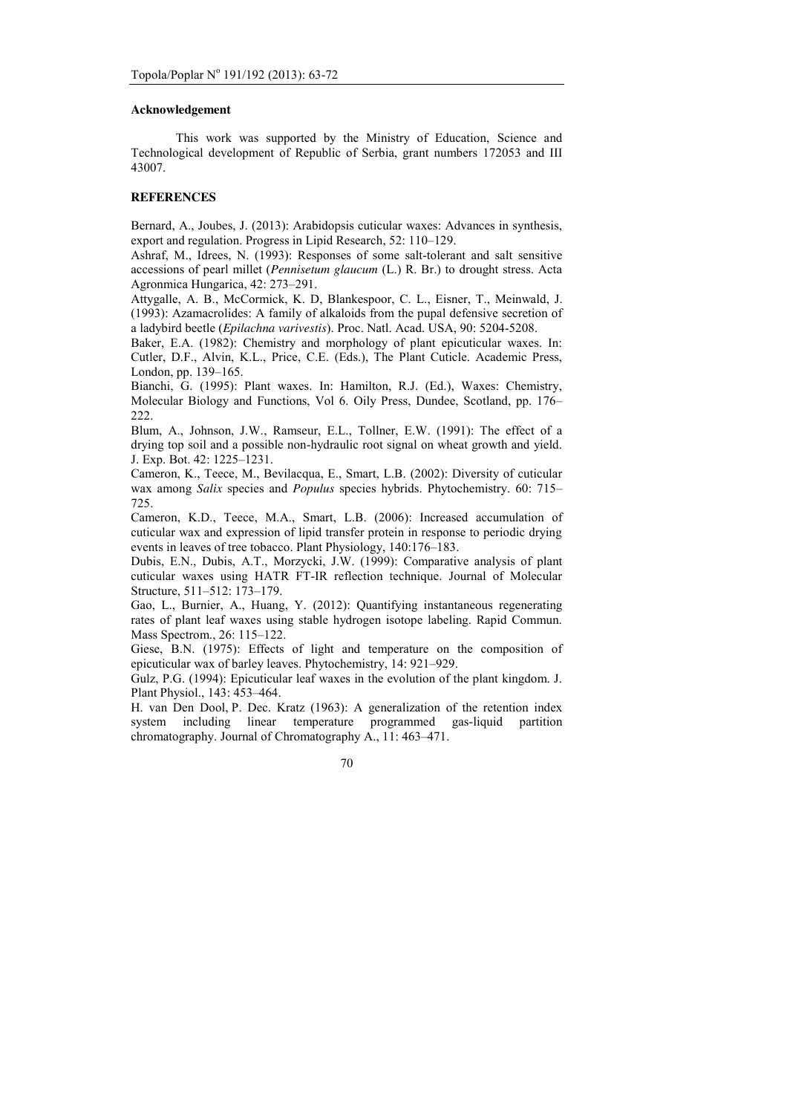#### **Acknowledgement**

This work was supported by the Ministry of Education, Science and Technological development of Republic of Serbia, grant numbers 172053 and III 43007.

# **REFERENCES**

Bernard, A., Joubes, J. (2013): Arabidopsis cuticular waxes: Advances in synthesis, export and regulation. Progress in Lipid Research, 52: 110–129.

Ashraf, M., Idrees, N. (1993): Responses of some salt-tolerant and salt sensitive accessions of pearl millet (*Pennisetum glaucum* (L.) R. Br.) to drought stress. Acta Agronmica Hungarica, 42: 273–291.

Attygalle, A. B., McCormick, K. D, Blankespoor, C. L., Eisner, T., Meinwald, J. (1993): Azamacrolides: A family of alkaloids from the pupal defensive secretion of a ladybird beetle (*Epilachna varivestis*). Proc. Natl. Acad. USA, 90: 5204-5208.

Baker, E.A. (1982): Chemistry and morphology of plant epicuticular waxes. In: Cutler, D.F., Alvin, K.L., Price, C.E. (Eds.), The Plant Cuticle. Academic Press, London, pp. 139–165.

Bianchi, G. (1995): Plant waxes. In: Hamilton, R.J. (Ed.), Waxes: Chemistry, Molecular Biology and Functions, Vol 6. Oily Press, Dundee, Scotland, pp. 176– 222.

Blum, A., Johnson, J.W., Ramseur, E.L., Tollner, E.W. (1991): The effect of a drying top soil and a possible non-hydraulic root signal on wheat growth and yield. J. Exp. Bot. 42: 1225–1231.

Cameron, K., Teece, M., Bevilacqua, E., Smart, L.B. (2002): Diversity of cuticular wax among *Salix* species and *Populus* species hybrids. Phytochemistry. 60: 715– 725.

Cameron, K.D., Teece, M.A., Smart, L.B. (2006): Increased accumulation of cuticular wax and expression of lipid transfer protein in response to periodic drying events in leaves of tree tobacco. Plant Physiology, 140:176–183.

Dubis, E.N., Dubis, A.T., Morzycki, J.W. (1999): Comparative analysis of plant cuticular waxes using HATR FT-IR reflection technique. Journal of Molecular Structure, 511–512: 173–179.

Gao, L., Burnier, A., Huang, Y. (2012): Quantifying instantaneous regenerating rates of plant leaf waxes using stable hydrogen isotope labeling. Rapid Commun. Mass Spectrom., 26: 115–122.

Giese, B.N. (1975): Effects of light and temperature on the composition of epicuticular wax of barley leaves. Phytochemistry, 14: 921–929.

Gulz, P.G. (1994): Epicuticular leaf waxes in the evolution of the plant kingdom. J. Plant Physiol., 143: 453–464.

H. van Den Dool, P. Dec. Kratz (1963): A generalization of the retention index system including linear temperature programmed gas-liquid partition chromatography. Journal of Chromatography A., 11: 463–471.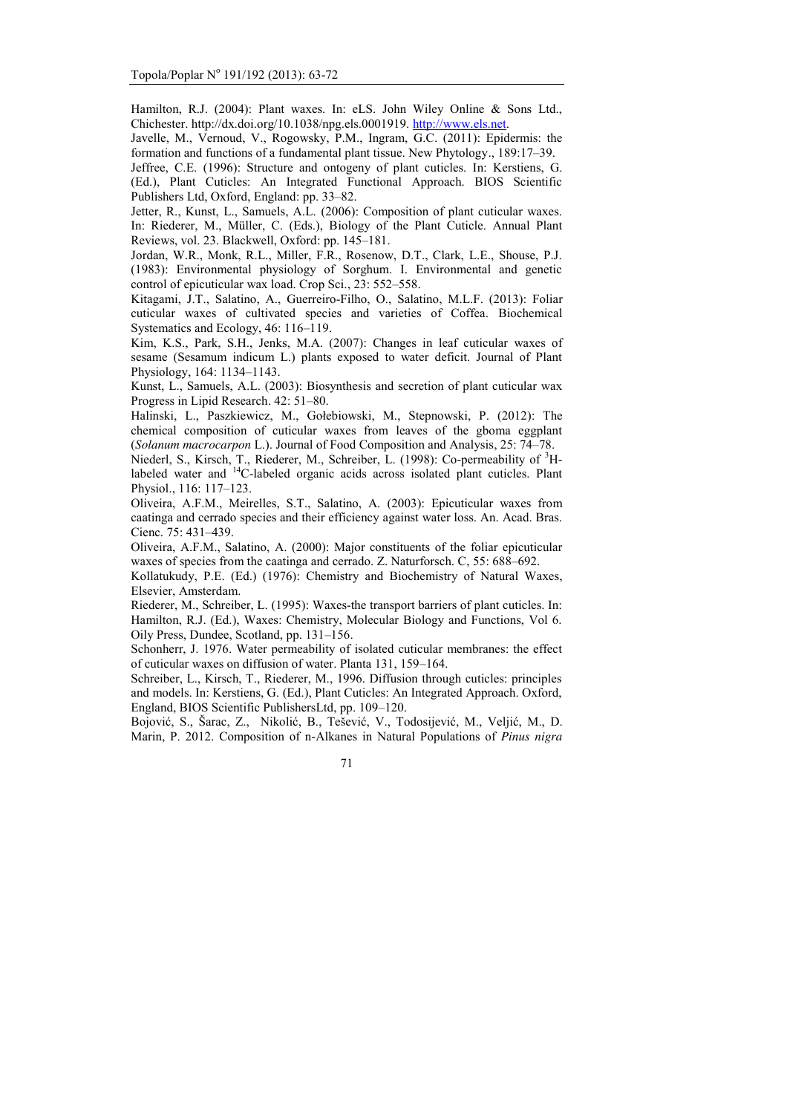Hamilton, R.J. (2004): Plant waxes. In: eLS. John Wiley Online & Sons Ltd., Chichester. http://dx.doi.org/10.1038/npg.els.0001919. http://www.els.net.

Javelle, M., Vernoud, V., Rogowsky, P.M., Ingram, G.C. (2011): Epidermis: the formation and functions of a fundamental plant tissue. New Phytology., 189:17–39.

Jeffree, C.E. (1996): Structure and ontogeny of plant cuticles. In: Kerstiens, G. (Ed.), Plant Cuticles: An Integrated Functional Approach. BIOS Scientific Publishers Ltd, Oxford, England: pp. 33–82.

Jetter, R., Kunst, L., Samuels, A.L. (2006): Composition of plant cuticular waxes. In: Riederer, M., Müller, C. (Eds.), Biology of the Plant Cuticle. Annual Plant Reviews, vol. 23. Blackwell, Oxford: pp. 145–181.

Jordan, W.R., Monk, R.L., Miller, F.R., Rosenow, D.T., Clark, L.E., Shouse, P.J. (1983): Environmental physiology of Sorghum. I. Environmental and genetic control of epicuticular wax load. Crop Sci., 23: 552–558.

Kitagami, J.T., Salatino, A., Guerreiro-Filho, O., Salatino, M.L.F. (2013): Foliar cuticular waxes of cultivated species and varieties of Coffea. Biochemical Systematics and Ecology, 46: 116–119.

Kim, K.S., Park, S.H., Jenks, M.A. (2007): Changes in leaf cuticular waxes of sesame (Sesamum indicum L.) plants exposed to water deficit. Journal of Plant Physiology, 164: 1134–1143.

Kunst, L., Samuels, A.L. (2003): Biosynthesis and secretion of plant cuticular wax Progress in Lipid Research. 42: 51–80.

Halinski, L., Paszkiewicz, M., Gołebiowski, M., Stepnowski, P. (2012): The chemical composition of cuticular waxes from leaves of the gboma eggplant (*Solanum macrocarpon* L.). Journal of Food Composition and Analysis, 25: 74–78.

Niederl, S., Kirsch, T., Riederer, M., Schreiber, L. (1998): Co-permeability of <sup>3</sup>Hlabeled water and  $14$ C-labeled organic acids across isolated plant cuticles. Plant Physiol., 116: 117–123.

Oliveira, A.F.M., Meirelles, S.T., Salatino, A. (2003): Epicuticular waxes from caatinga and cerrado species and their efficiency against water loss. An. Acad. Bras. Cienc. 75: 431–439.

Oliveira, A.F.M., Salatino, A. (2000): Major constituents of the foliar epicuticular waxes of species from the caatinga and cerrado. Z. Naturforsch. C, 55: 688–692.

Kollatukudy, P.E. (Ed.) (1976): Chemistry and Biochemistry of Natural Waxes, Elsevier, Amsterdam.

Riederer, M., Schreiber, L. (1995): Waxes-the transport barriers of plant cuticles. In: Hamilton, R.J. (Ed.), Waxes: Chemistry, Molecular Biology and Functions, Vol 6. Oily Press, Dundee, Scotland, pp. 131–156.

Schonherr, J. 1976. Water permeability of isolated cuticular membranes: the effect of cuticular waxes on diffusion of water. Planta 131, 159–164.

Schreiber, L., Kirsch, T., Riederer, M., 1996. Diffusion through cuticles: principles and models. In: Kerstiens, G. (Ed.), Plant Cuticles: An Integrated Approach. Oxford, England, BIOS Scientific PublishersLtd, pp. 109–120.

Bojović, S., Šarac, Z., Nikolić, B., Tešević, V., Todosijević, M., Veljić, M., D. Marin, P. 2012. Composition of n-Alkanes in Natural Populations of *Pinus nigra*